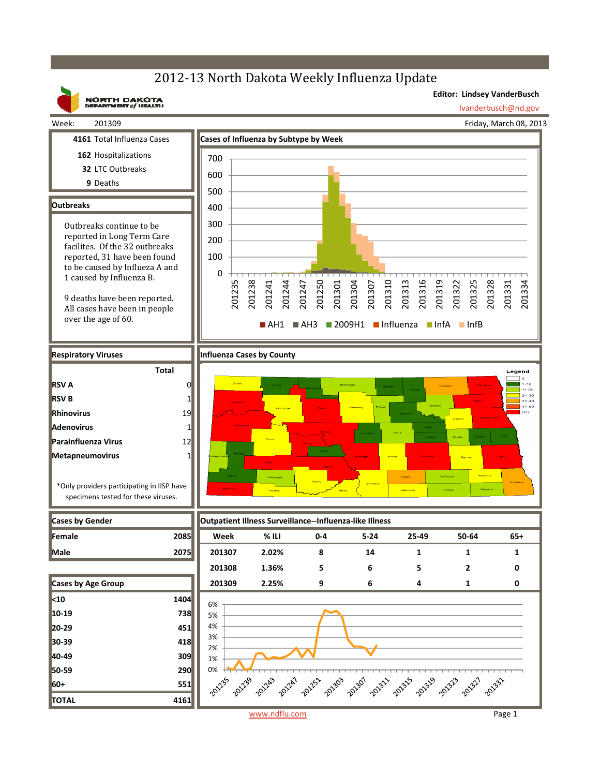

**Outbreaks**

**RSV A RSV B Rhinovirus Adenovirus**

**Metapneumovirus**

Legend **201308 1.36% 56520**



201334

 $1 - 10$  $11 - 20$  $21 - 30$ = 1-30<br>31-40<br>41-50